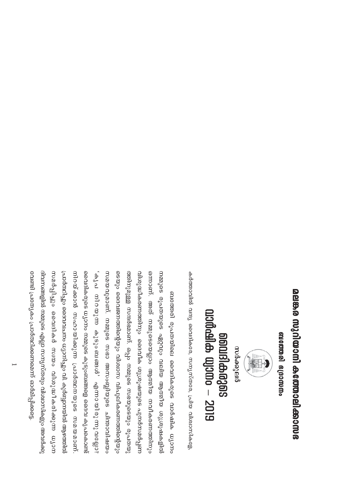## മലങ്കര സുറിയാനി കത്തോലിക്കാസഭ

ബബോ ഭത്തരി ഭദ്രാനന്തം



ഭാണ്ടി പ്രത്യേകിയാണിക്കണം ഒാർമിപ്പിക്കുട ദിവസങ്ങളിൽ നമ്മുടെ എല്ലാ സന്യസ്തതും വിശ്ഥസികളും അവർക്കു <u>രിത്തുകളോ തിയനലു</u>വിനം ധ്യാനിച്ചും വി. കുർബ്ബാന്നലുത്തിൽ ആഴത്തിയ നൈദികതുടെ ധുാനാ നമ്മുടെ കുടുംബങ്ങളെ ദൈവ കൃപക്ഷെണ്ട ഭെയും വൈജനത്തിന്റെയും വിശ്വാസ വിപുലീകരണത്തിന്റെയും വിശുദ്ധീകരണത്തിനും വൈീക ശുശ്രയുഷയുടെ പുന്തീനമർപ്പണ് നാർപ്പിച്ചും വൈദികർ സ്ഥാ വിശുദ്ധീകരിക്കുന്ന ധ്യാന നിറയ്ക്കാൻ സഹായിക്കുന്ന പ്രാർതമനയുടെ സമയമാണ് സമയവുമാണ്. നമ്മുടെ സഭാ അസംബ്ലിയുടെ ചിന്താവിഷയം ഒന്നാണ്. അത് നമ്മുടെയെല്ലാം ആതമീയ നവീകരണത്തിനും ; പ്രോഗ്യുന്ന കുടും ബങ്ങൾ എന്നു വുത്രവുള്ള ? ത്തിനുമുള്ള സന്ദർഭമാണ്. ഒപ്പം നമ്മുടെ സഭയുടെയും രൂപതയു തിളക്ഷം തുപതയുടെ ഏറ്റവും വലിയ ആത്മ<sup>ീ</sup>യു.യാഷകളിൽ ബത്തേരി രൂപതയിലെ വൈദികരുടെ വാർഷിക ധ്യാനം

കർത്താവിൽ വന്ദു വൈദികരേ, സന്യസ്തരേ, പ്രിയ വിശ്വാസികളേ,

onalabaagas<br>augaaha wyamo – 2019 സർക്കുലർ